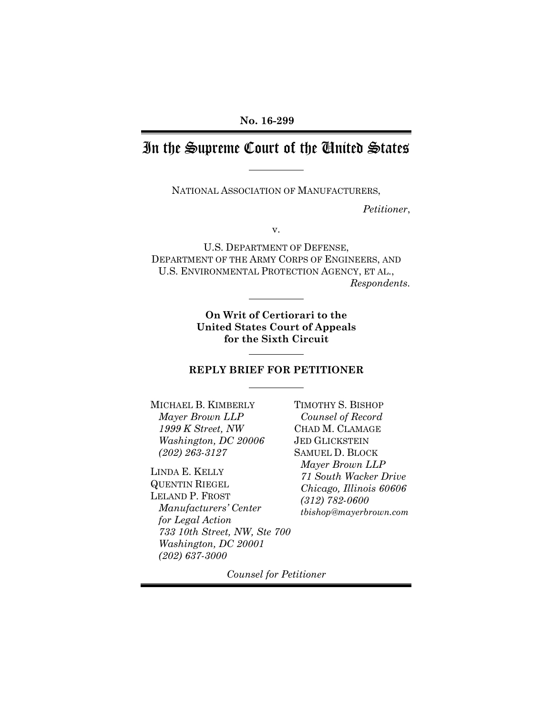# In the Supreme Court of the United States

NATIONAL ASSOCIATION OF MANUFACTURERS,

*Petitioner*,

v.

U.S. DEPARTMENT OF DEFENSE, DEPARTMENT OF THE ARMY CORPS OF ENGINEERS, AND U.S. ENVIRONMENTAL PROTECTION AGENCY, ET AL., *Respondents.*

> **On Writ of Certiorari to the United States Court of Appeals for the Sixth Circuit**

#### **REPLY BRIEF FOR PETITIONER**

MICHAEL B. KIMBERLY *Mayer Brown LLP 1999 K Street, NW Washington, DC 20006 (202) 263-3127*

LINDA E. KELLY QUENTIN RIEGEL LELAND P. FROST *Manufacturers' Center for Legal Action 733 10th Street, NW, Ste 700 Washington, DC 20001 (202) 637-3000*

TIMOTHY S. BISHOP *Counsel of Record* CHAD M. CLAMAGE JED GLICKSTEIN SAMUEL D. BLOCK *Mayer Brown LLP 71 South Wacker Drive Chicago, Illinois 60606 (312) 782-0600 [tbishop@mayerbrown.com](mailto:tbishop@mayerbrown.com)*

*Counsel for Petitioner*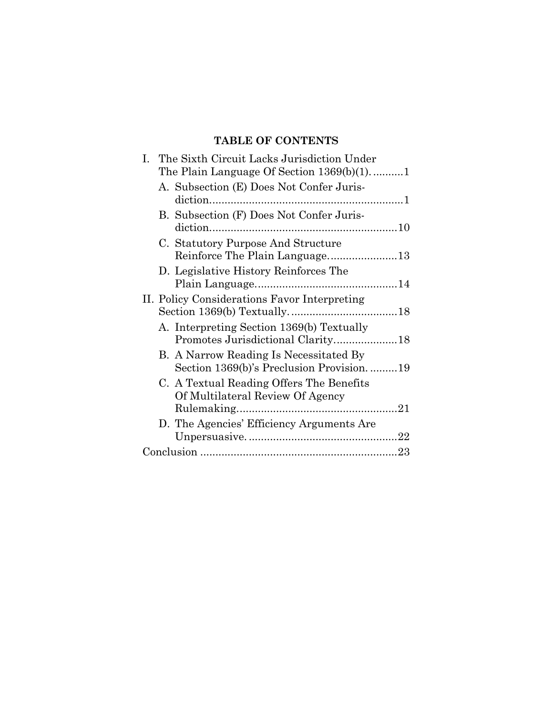### **TABLE OF CONTENTS**

| Ι. | The Sixth Circuit Lacks Jurisdiction Under<br>The Plain Language Of Section $1369(b)(1)$ 1 |  |
|----|--------------------------------------------------------------------------------------------|--|
|    | A. Subsection (E) Does Not Confer Juris-                                                   |  |
|    | B. Subsection (F) Does Not Confer Juris-                                                   |  |
|    | C. Statutory Purpose And Structure                                                         |  |
|    | D. Legislative History Reinforces The                                                      |  |
|    | II. Policy Considerations Favor Interpreting                                               |  |
|    | A. Interpreting Section 1369(b) Textually                                                  |  |
|    | B. A Narrow Reading Is Necessitated By<br>Section 1369(b)'s Preclusion Provision19         |  |
|    | C. A Textual Reading Offers The Benefits<br>Of Multilateral Review Of Agency               |  |
|    | D. The Agencies' Efficiency Arguments Are                                                  |  |
|    |                                                                                            |  |
|    |                                                                                            |  |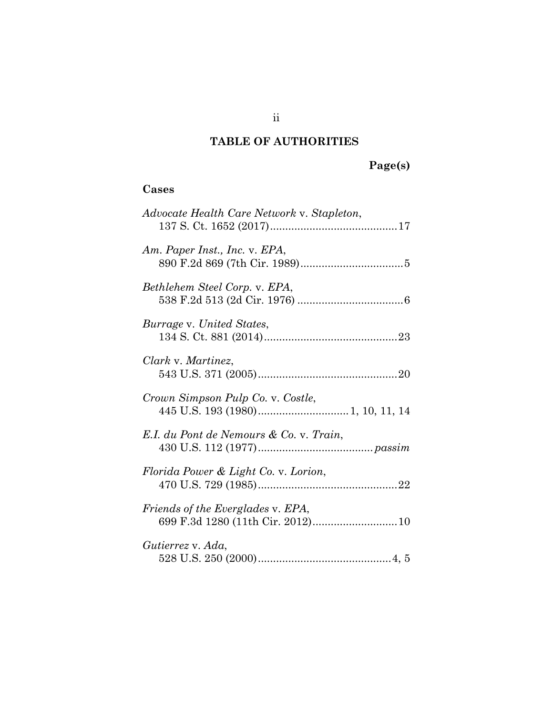## **TABLE OF AUTHORITIES**

# **Page(s)**

### **Cases**

| Advocate Health Care Network v. Stapleton,                             |
|------------------------------------------------------------------------|
| Am. Paper Inst., Inc. v. EPA,                                          |
| Bethlehem Steel Corp. v. EPA,                                          |
| Burrage v. United States,                                              |
| Clark v. Martinez,                                                     |
| Crown Simpson Pulp Co. v. Costle,                                      |
| E.I. du Pont de Nemours & Co. v. Train,                                |
| Florida Power & Light Co. v. Lorion,                                   |
| Friends of the Everglades v. EPA,<br>699 F.3d 1280 (11th Cir. 2012) 10 |
| Gutierrez v. Ada,                                                      |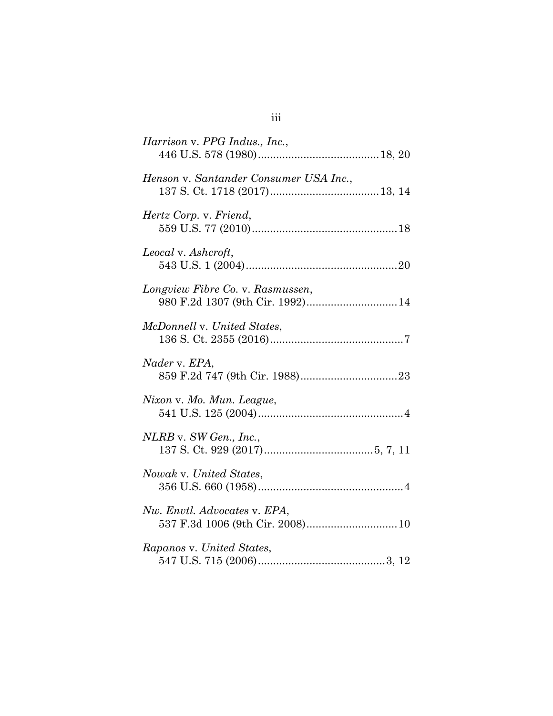| Harrison v. PPG Indus., Inc.,                                        |
|----------------------------------------------------------------------|
| Henson v. Santander Consumer USA Inc.,                               |
| Hertz Corp. v. Friend,                                               |
| Leocal v. Ashcroft,                                                  |
| Longview Fibre Co. v. Rasmussen,<br>980 F.2d 1307 (9th Cir. 1992) 14 |
| McDonnell v. United States,                                          |
| Nader v. EPA,                                                        |
| Nixon v. Mo. Mun. League,                                            |
| NLRB v. SW Gen., Inc.,                                               |
| Nowak v. United States,                                              |
| Nw. Envtl. Advocates v. EPA,<br>537 F.3d 1006 (9th Cir. 2008)10      |
| Rapanos v. United States,                                            |

# iii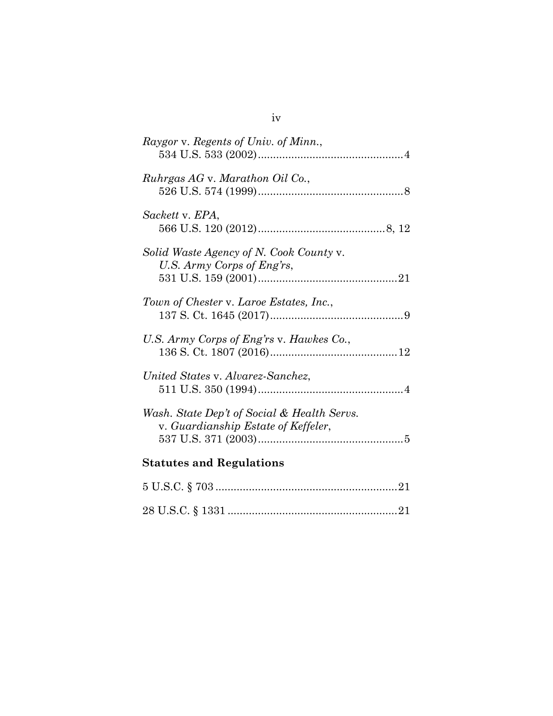| Raygor v. Regents of Univ. of Minn.,                                               |  |
|------------------------------------------------------------------------------------|--|
| Ruhrgas AG v. Marathon Oil Co.,                                                    |  |
| Sackett v. EPA,                                                                    |  |
| Solid Waste Agency of N. Cook County v.<br>U.S. Army Corps of Eng'rs,              |  |
| Town of Chester v. Laroe Estates, Inc.,                                            |  |
| U.S. Army Corps of Eng'rs v. Hawkes Co.,                                           |  |
| United States v. Alvarez-Sanchez,                                                  |  |
| Wash. State Dep't of Social & Health Servs.<br>v. Guardianship Estate of Keffeler, |  |
| <b>Statutes and Regulations</b>                                                    |  |
|                                                                                    |  |
|                                                                                    |  |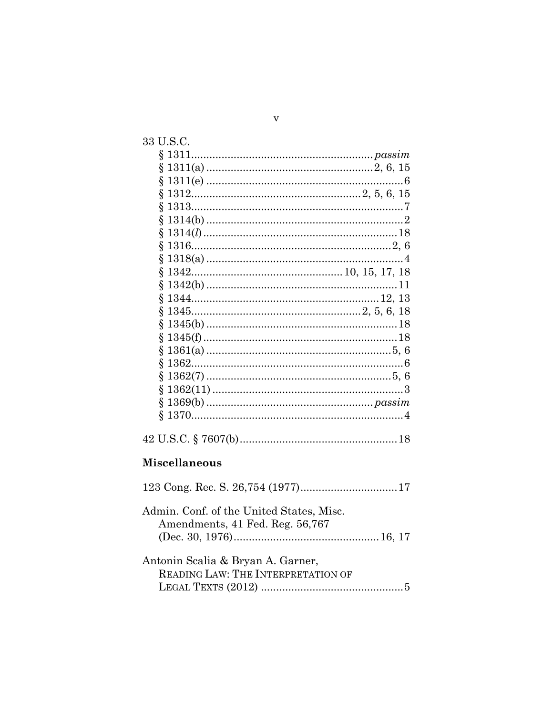| 33 U.S.C.                                                                   |  |
|-----------------------------------------------------------------------------|--|
|                                                                             |  |
| Ş                                                                           |  |
| ş                                                                           |  |
| ş                                                                           |  |
| ş                                                                           |  |
| ş                                                                           |  |
| ş                                                                           |  |
| ş                                                                           |  |
| ş                                                                           |  |
| ş                                                                           |  |
| ş                                                                           |  |
| ş                                                                           |  |
| ş<br>$1345$ $2, 5, 6, 18$                                                   |  |
| ş                                                                           |  |
|                                                                             |  |
| ş                                                                           |  |
| ş                                                                           |  |
| ş                                                                           |  |
| Ş                                                                           |  |
| Ş                                                                           |  |
| Ş                                                                           |  |
|                                                                             |  |
| <b>Miscellaneous</b>                                                        |  |
|                                                                             |  |
| Admin. Conf. of the United States, Misc.<br>Amendments, 41 Fed. Reg. 56,767 |  |
|                                                                             |  |
| Antonin Scalia & Bryan A. Garner,<br>READING LAW: THE INTERPRETATION OF     |  |
|                                                                             |  |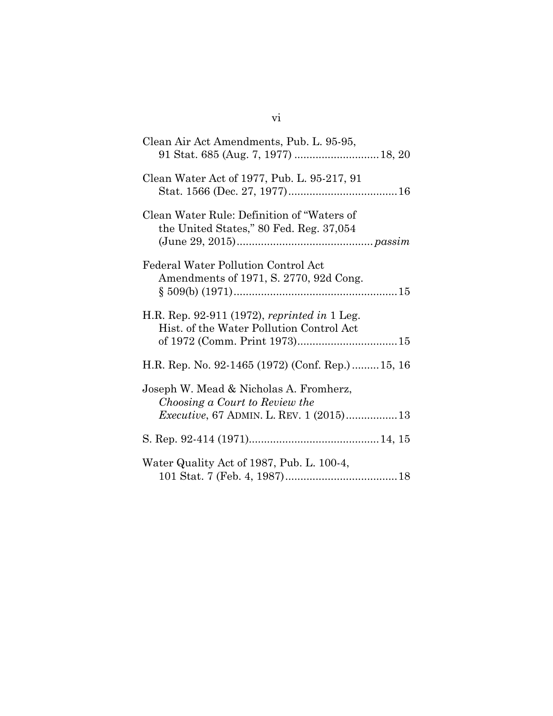| Clean Air Act Amendments, Pub. L. 95-95,                                                 |  |
|------------------------------------------------------------------------------------------|--|
| Clean Water Act of 1977, Pub. L. 95-217, 91                                              |  |
| Clean Water Rule: Definition of "Waters of<br>the United States," 80 Fed. Reg. 37,054    |  |
| Federal Water Pollution Control Act<br>Amendments of 1971, S. 2770, 92d Cong.            |  |
| H.R. Rep. 92-911 (1972), reprinted in 1 Leg.<br>Hist. of the Water Pollution Control Act |  |
| H.R. Rep. No. 92-1465 (1972) (Conf. Rep.)15, 16                                          |  |
| Joseph W. Mead & Nicholas A. Fromherz,<br>Choosing a Court to Review the                 |  |
|                                                                                          |  |
| Water Quality Act of 1987, Pub. L. 100-4,                                                |  |

## vi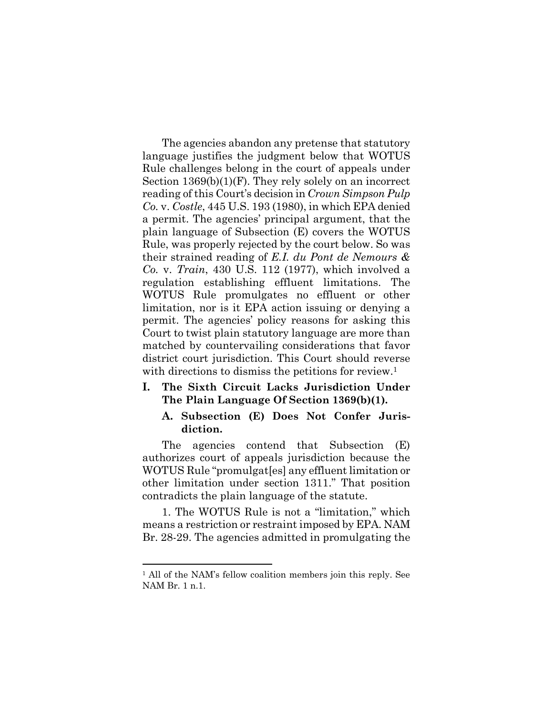<span id="page-7-3"></span><span id="page-7-2"></span>The agencies abandon any pretense that statutory language justifies the judgment below that WOTUS Rule challenges belong in the court of appeals under Section 1369(b)(1)(F). They rely solely on an incorrect reading of this Court's decision in *Crown Simpson Pulp Co.* v. *Costle*, 445 U.S. 193 (1980), in which EPA denied a permit. The agencies' principal argument, that the plain language of Subsection (E) covers the WOTUS Rule, was properly rejected by the court below. So was their strained reading of *E.I. du Pont de Nemours & Co.* v. *Train*, 430 U.S. 112 (1977), which involved a regulation establishing effluent limitations. The WOTUS Rule promulgates no effluent or other limitation, nor is it EPA action issuing or denying a permit. The agencies' policy reasons for asking this Court to twist plain statutory language are more than matched by countervailing considerations that favor district court jurisdiction. This Court should reverse with directions to dismiss the petitions for review.<sup>[1](#page-7-5)</sup>

#### <span id="page-7-0"></span>**I. The Sixth Circuit Lacks Jurisdiction Under The Plain Language Of Section 1369(b)(1).**

#### <span id="page-7-4"></span><span id="page-7-1"></span>**A. Subsection (E) Does Not Confer Jurisdiction.**

The agencies contend that Subsection (E) authorizes court of appeals jurisdiction because the WOTUS Rule "promulgat[es] any effluent limitation or other limitation under section 1311." That position contradicts the plain language of the statute.

1. The WOTUS Rule is not a "limitation," which means a restriction or restraint imposed by EPA. NAM Br. 28-29. The agencies admitted in promulgating the

<span id="page-7-5"></span><sup>1</sup> All of the NAM's fellow coalition members join this reply. See NAM Br. 1 n.1.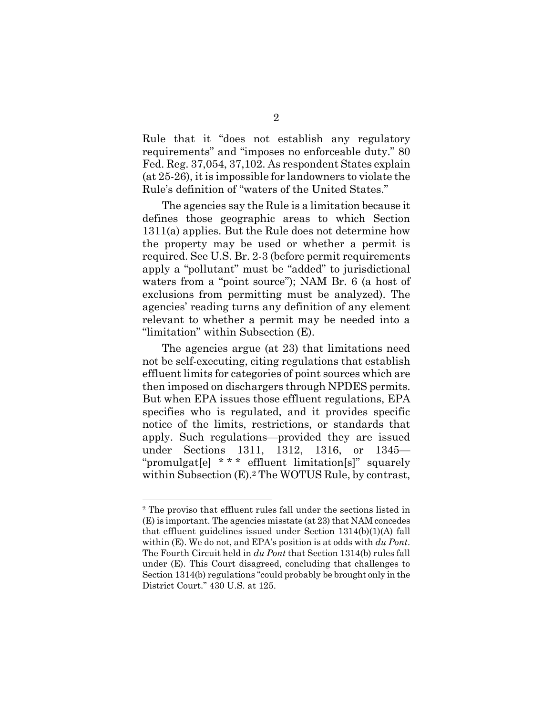Rule that it "does not establish any regulatory requirements" and "imposes no enforceable duty." 80 Fed. Reg. 37,054, 37,102. As respondent States explain (at 25-26), it is impossible for landowners to violate the Rule's definition of "waters of the United States."

<span id="page-8-0"></span>The agencies say the Rule is a limitation because it defines those geographic areas to which Section 1311(a) applies. But the Rule does not determine how the property may be used or whether a permit is required. See U.S. Br. 2-3 (before permit requirements apply a "pollutant" must be "added" to jurisdictional waters from a "point source"); NAM Br. 6 (a host of exclusions from permitting must be analyzed). The agencies' reading turns any definition of any element relevant to whether a permit may be needed into a "limitation" within Subsection (E).

The agencies argue (at 23) that limitations need not be self-executing, citing regulations that establish effluent limits for categories of point sources which are then imposed on dischargers through NPDES permits. But when EPA issues those effluent regulations, EPA specifies who is regulated, and it provides specific notice of the limits, restrictions, or standards that apply. Such regulations—provided they are issued under Sections 1311, 1312, 1316, or 1345— "promulgat[e] \* \* \* effluent limitation[s]" squarely within Subsection (E).[2](#page-8-5) The WOTUS Rule, by contrast,

<span id="page-8-5"></span><span id="page-8-4"></span><span id="page-8-3"></span><span id="page-8-2"></span><span id="page-8-1"></span><sup>2</sup> The proviso that effluent rules fall under the sections listed in (E) is important. The agencies misstate (at 23) that NAM concedes that effluent guidelines issued under Section 1314(b)(1)(A) fall within (E). We do not, and EPA's position is at odds with *du Pont*. The Fourth Circuit held in *du Pont* that Section 1314(b) rules fall under (E). This Court disagreed, concluding that challenges to Section 1314(b) regulations "could probably be brought only in the District Court." 430 U.S. at 125.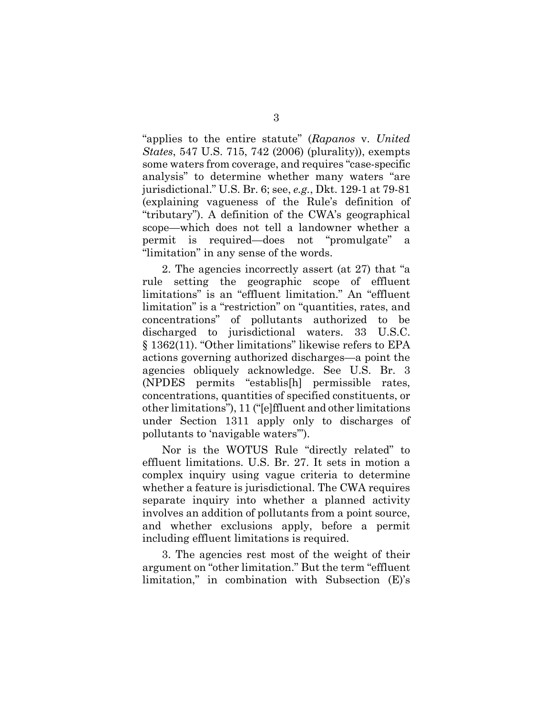<span id="page-9-0"></span>"applies to the entire statute" (*Rapanos* v. *United States*, 547 U.S. 715, 742 (2006) (plurality)), exempts some waters from coverage, and requires "case-specific analysis" to determine whether many waters "are jurisdictional." U.S. Br. 6; see, *e.g.*, Dkt. 129-1 at 79-81 (explaining vagueness of the Rule's definition of "tributary"). A definition of the CWA's geographical scope—which does not tell a landowner whether a permit is required—does not "promulgate" a "limitation" in any sense of the words.

<span id="page-9-1"></span>2. The agencies incorrectly assert (at 27) that "a rule setting the geographic scope of effluent limitations" is an "effluent limitation." An "effluent limitation" is a "restriction" on "quantities, rates, and concentrations" of pollutants authorized to be discharged to jurisdictional waters. 33 U.S.C. § 1362(11). "Other limitations" likewise refers to EPA actions governing authorized discharges—a point the agencies obliquely acknowledge. See U.S. Br. 3 (NPDES permits "establis[h] permissible rates, concentrations, quantities of specified constituents, or other limitations"), 11 ("[e]ffluent and other limitations under Section 1311 apply only to discharges of pollutants to 'navigable waters'").

Nor is the WOTUS Rule "directly related" to effluent limitations. U.S. Br. 27. It sets in motion a complex inquiry using vague criteria to determine whether a feature is jurisdictional. The CWA requires separate inquiry into whether a planned activity involves an addition of pollutants from a point source, and whether exclusions apply, before a permit including effluent limitations is required.

3. The agencies rest most of the weight of their argument on "other limitation." But the term "effluent limitation," in combination with Subsection (E)'s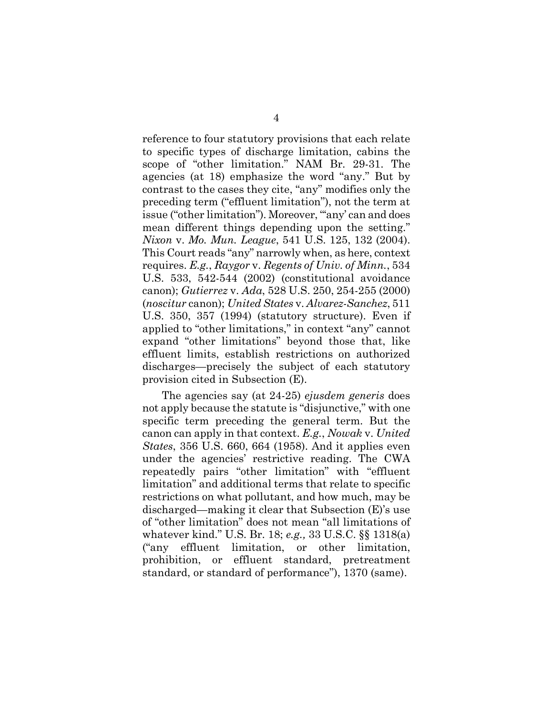<span id="page-10-3"></span><span id="page-10-1"></span>reference to four statutory provisions that each relate to specific types of discharge limitation, cabins the scope of "other limitation." NAM Br. 29-31. The agencies (at 18) emphasize the word "any." But by contrast to the cases they cite, "any" modifies only the preceding term ("effluent limitation"), not the term at issue ("other limitation"). Moreover, ""any' can and does mean different things depending upon the setting." *Nixon* v. *Mo. Mun. League*, 541 U.S. 125, 132 (2004). This Court reads "any" narrowly when, as here, context requires. *E.g.*, *Raygor* v. *Regents of Univ. of Minn.*, 534 U.S. 533, 542-544 (2002) (constitutional avoidance canon); *Gutierrez* v. *Ada*, 528 U.S. 250, 254-255 (2000) (*noscitur* canon); *United States* v. *Alvarez-Sanchez*, 511 U.S. 350, 357 (1994) (statutory structure). Even if applied to "other limitations," in context "any" cannot expand "other limitations" beyond those that, like effluent limits, establish restrictions on authorized discharges—precisely the subject of each statutory provision cited in Subsection (E).

<span id="page-10-6"></span><span id="page-10-5"></span><span id="page-10-4"></span><span id="page-10-2"></span><span id="page-10-0"></span>The agencies say (at 24-25) *ejusdem generis* does not apply because the statute is "disjunctive," with one specific term preceding the general term. But the canon can apply in that context. *E.g.*, *Nowak* v. *United States*, 356 U.S. 660, 664 (1958). And it applies even under the agencies' restrictive reading. The CWA repeatedly pairs "other limitation" with "effluent limitation" and additional terms that relate to specific restrictions on what pollutant, and how much, may be discharged—making it clear that Subsection (E)'s use of "other limitation" does not mean "all limitations of whatever kind." U.S. Br. 18; *e.g.,* 33 U.S.C. §§ 1318(a) ("any effluent limitation, or other limitation, prohibition, or effluent standard, pretreatment standard, or standard of performance"), 1370 (same).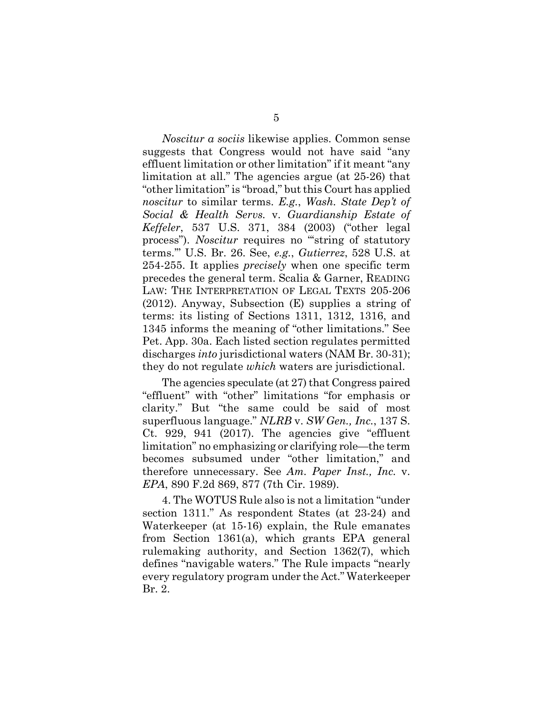<span id="page-11-3"></span><span id="page-11-1"></span>*Noscitur a sociis* likewise applies. Common sense suggests that Congress would not have said "any effluent limitation or other limitation" if it meant "any limitation at all." The agencies argue (at 25-26) that "other limitation" is "broad," but this Court has applied *noscitur* to similar terms. *E.g.*, *Wash. State Dep't of Social & Health Servs.* v. *Guardianship Estate of Keffeler*, 537 U.S. 371, 384 (2003) ("other legal process"). *Noscitur* requires no "string of statutory terms.'" U.S. Br. 26. See, *e.g.*, *Gutierrez*, 528 U.S. at 254-255. It applies *precisely* when one specific term precedes the general term. Scalia & Garner, READING LAW: THE INTERPRETATION OF LEGAL TEXTS 205-206 (2012). Anyway, Subsection (E) supplies a string of terms: its listing of Sections 1311, 1312, 1316, and 1345 informs the meaning of "other limitations." See Pet. App. 30a. Each listed section regulates permitted discharges *into* jurisdictional waters (NAM Br. 30-31); they do not regulate *which* waters are jurisdictional.

<span id="page-11-8"></span><span id="page-11-5"></span><span id="page-11-4"></span><span id="page-11-2"></span>The agencies speculate (at 27) that Congress paired "effluent" with "other" limitations "for emphasis or clarity." But "the same could be said of most superfluous language." *NLRB* v. *SW Gen., Inc.*, 137 S. Ct. 929, 941 (2017). The agencies give "effluent limitation" no emphasizing or clarifying role—the term becomes subsumed under "other limitation," and therefore unnecessary. See *Am. Paper Inst., Inc.* v. *EPA*, 890 F.2d 869, 877 (7th Cir. 1989).

<span id="page-11-7"></span><span id="page-11-6"></span><span id="page-11-0"></span>4. The WOTUS Rule also is not a limitation "under section 1311." As respondent States (at 23-24) and Waterkeeper (at 15-16) explain, the Rule emanates from Section 1361(a), which grants EPA general rulemaking authority, and Section 1362(7), which defines "navigable waters." The Rule impacts "nearly every regulatory program under the Act." Waterkeeper Br. 2.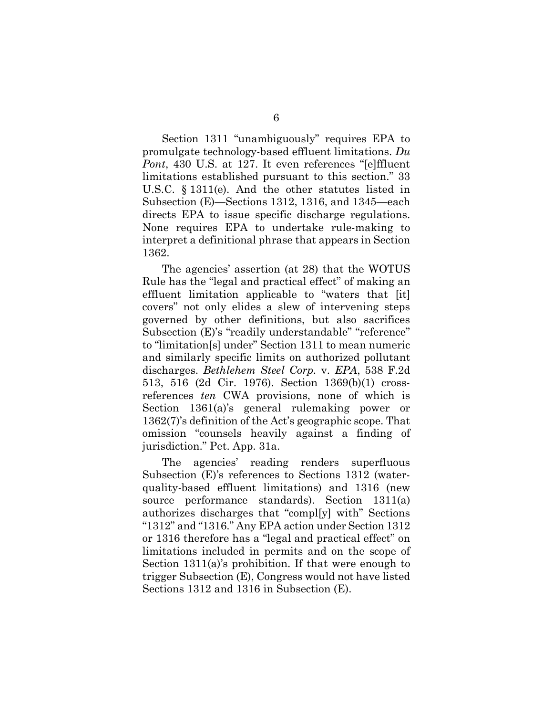<span id="page-12-5"></span><span id="page-12-2"></span>Section 1311 "unambiguously" requires EPA to promulgate technology-based effluent limitations. *Du Pont*, 430 U.S. at 127. It even references "[e]ffluent limitations established pursuant to this section." 33 U.S.C. § 1311(e). And the other statutes listed in Subsection (E)—Sections 1312, 1316, and 1345—each directs EPA to issue specific discharge regulations. None requires EPA to undertake rule-making to interpret a definitional phrase that appears in Section 1362.

<span id="page-12-7"></span><span id="page-12-0"></span>The agencies' assertion (at 28) that the WOTUS Rule has the "legal and practical effect" of making an effluent limitation applicable to "waters that [it] covers" not only elides a slew of intervening steps governed by other definitions, but also sacrifices Subsection (E)'s "readily understandable" "reference" to "limitation[s] under" Section 1311 to mean numeric and similarly specific limits on authorized pollutant discharges. *Bethlehem Steel Corp.* v. *EPA*, 538 F.2d 513, 516 (2d Cir. 1976). Section 1369(b)(1) crossreferences *ten* CWA provisions, none of which is Section 1361(a)'s general rulemaking power or 1362(7)'s definition of the Act's geographic scope. That omission "counsels heavily against a finding of jurisdiction." Pet. App. 31a.

<span id="page-12-8"></span><span id="page-12-6"></span><span id="page-12-4"></span><span id="page-12-3"></span><span id="page-12-1"></span>The agencies' reading renders superfluous Subsection (E)'s references to Sections 1312 (waterquality-based effluent limitations) and 1316 (new source performance standards). Section 1311(a) authorizes discharges that "compl[y] with" Sections "1312" and "1316." Any EPA action under Section 1312 or 1316 therefore has a "legal and practical effect" on limitations included in permits and on the scope of Section 1311(a)'s prohibition. If that were enough to trigger Subsection (E), Congress would not have listed Sections 1312 and 1316 in Subsection (E).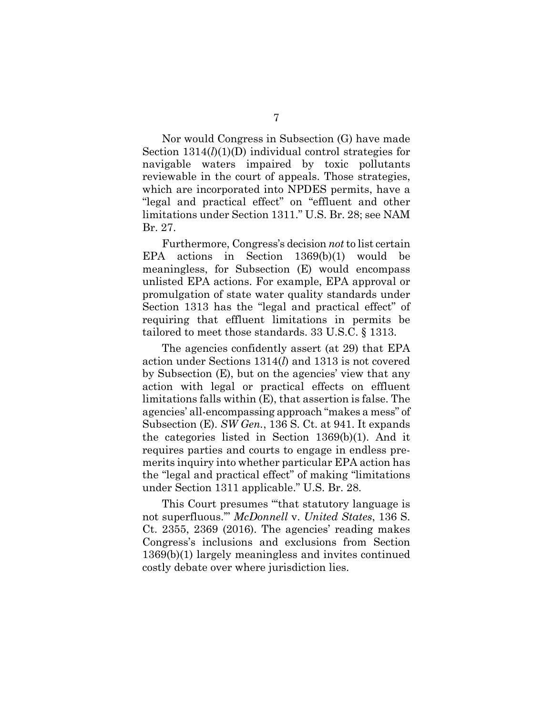Nor would Congress in Subsection (G) have made Section 1314(*l*)(1)(D) individual control strategies for navigable waters impaired by toxic pollutants reviewable in the court of appeals. Those strategies, which are incorporated into NPDES permits, have a "legal and practical effect" on "effluent and other limitations under Section 1311." U.S. Br. 28; see NAM Br. 27.

Furthermore, Congress's decision *not*to list certain EPA actions in Section 1369(b)(1) would be meaningless, for Subsection (E) would encompass unlisted EPA actions. For example, EPA approval or promulgation of state water quality standards under Section 1313 has the "legal and practical effect" of requiring that effluent limitations in permits be tailored to meet those standards. 33 U.S.C. § 1313.

<span id="page-13-2"></span><span id="page-13-1"></span>The agencies confidently assert (at 29) that EPA action under Sections 1314(*l*) and 1313 is not covered by Subsection (E), but on the agencies' view that any action with legal or practical effects on effluent limitations falls within (E), that assertion is false. The agencies' all-encompassing approach "makes a mess" of Subsection (E). *SW Gen.*, 136 S. Ct. at 941. It expands the categories listed in Section 1369(b)(1). And it requires parties and courts to engage in endless premerits inquiry into whether particular EPA action has the "legal and practical effect" of making "limitations under Section 1311 applicable." U.S. Br. 28.

<span id="page-13-0"></span>This Court presumes "'that statutory language is not superfluous.'" *McDonnell* v. *United States*, 136 S. Ct. 2355, 2369 (2016). The agencies' reading makes Congress's inclusions and exclusions from Section 1369(b)(1) largely meaningless and invites continued costly debate over where jurisdiction lies.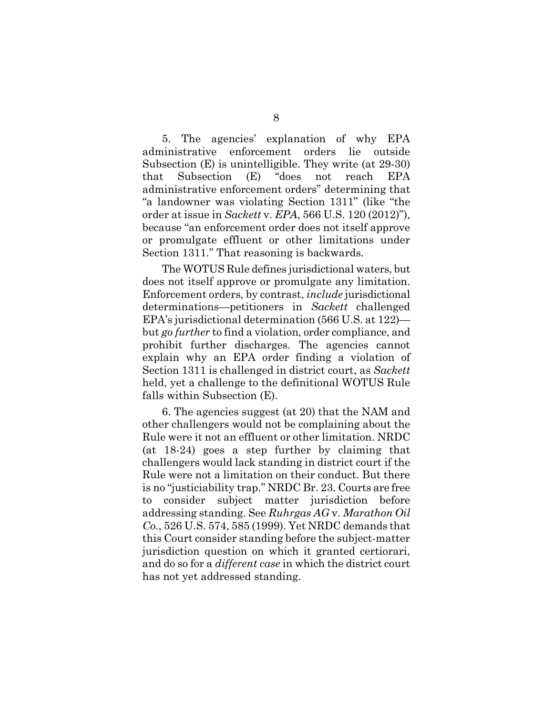5. The agencies' explanation of why EPA administrative enforcement orders lie outside Subsection (E) is unintelligible. They write (at 29-30) that Subsection (E) "does not reach EPA administrative enforcement orders" determining that "a landowner was violating Section 1311" (like "the order at issue in *Sackett* v. *EPA*, 566 U.S. 120 (2012)"), because "an enforcement order does not itself approve or promulgate effluent or other limitations under Section 1311." That reasoning is backwards.

<span id="page-14-1"></span>The WOTUS Rule defines jurisdictional waters, but does not itself approve or promulgate any limitation. Enforcement orders, by contrast, *include* jurisdictional determinations—petitioners in *Sackett* challenged EPA's jurisdictional determination (566 U.S. at 122) but *go further* to find a violation, order compliance, and prohibit further discharges. The agencies cannot explain why an EPA order finding a violation of Section 1311 is challenged in district court, as *Sackett* held, yet a challenge to the definitional WOTUS Rule falls within Subsection (E).

<span id="page-14-0"></span>6. The agencies suggest (at 20) that the NAM and other challengers would not be complaining about the Rule were it not an effluent or other limitation. NRDC (at 18-24) goes a step further by claiming that challengers would lack standing in district court if the Rule were not a limitation on their conduct. But there is no "justiciability trap." NRDC Br. 23. Courts are free to consider subject matter jurisdiction before addressing standing. See *Ruhrgas AG* v. *Marathon Oil Co.*, 526 U.S. 574, 585 (1999). Yet NRDC demands that this Court consider standing before the subject-matter jurisdiction question on which it granted certiorari, and do so for a *different case* in which the district court has not yet addressed standing.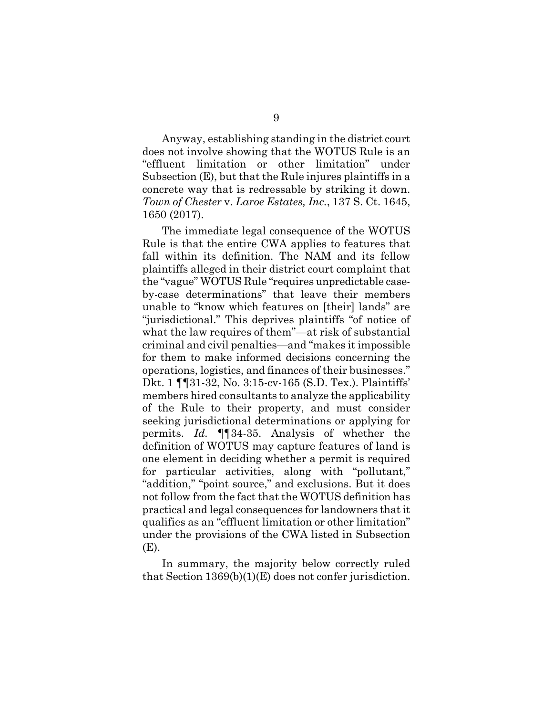Anyway, establishing standing in the district court does not involve showing that the WOTUS Rule is an "effluent limitation or other limitation" under Subsection (E), but that the Rule injures plaintiffs in a concrete way that is redressable by striking it down. *Town of Chester* v. *Laroe Estates, Inc.*, 137 S. Ct. 1645, 1650 (2017).

<span id="page-15-0"></span>The immediate legal consequence of the WOTUS Rule is that the entire CWA applies to features that fall within its definition. The NAM and its fellow plaintiffs alleged in their district court complaint that the "vague" WOTUS Rule "requires unpredictable caseby-case determinations" that leave their members unable to "know which features on [their] lands" are "jurisdictional." This deprives plaintiffs "of notice of what the law requires of them"—at risk of substantial criminal and civil penalties—and "makes it impossible for them to make informed decisions concerning the operations, logistics, and finances of their businesses." Dkt. 1 ¶¶31-32, No. 3:15-cv-165 (S.D. Tex.). Plaintiffs' members hired consultants to analyze the applicability of the Rule to their property, and must consider seeking jurisdictional determinations or applying for permits. *Id.* ¶¶34-35. Analysis of whether the definition of WOTUS may capture features of land is one element in deciding whether a permit is required for particular activities, along with "pollutant," "addition," "point source," and exclusions. But it does not follow from the fact that the WOTUS definition has practical and legal consequences for landowners that it qualifies as an "effluent limitation or other limitation" under the provisions of the CWA listed in Subsection (E).

In summary, the majority below correctly ruled that Section 1369(b)(1)(E) does not confer jurisdiction.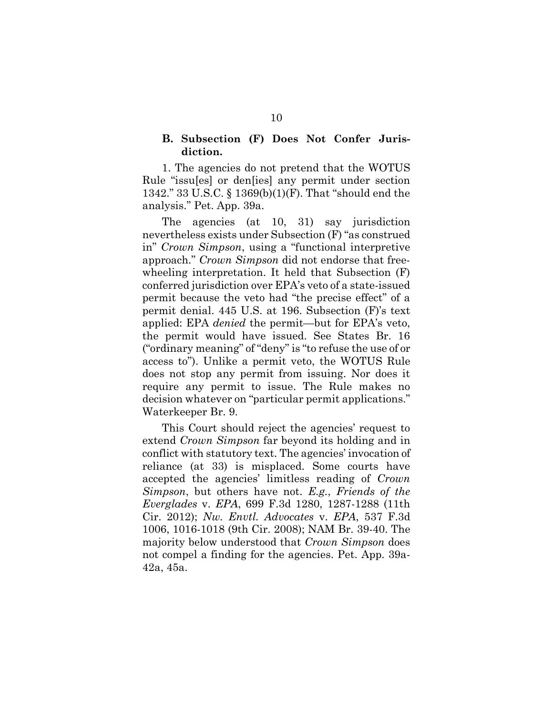#### <span id="page-16-4"></span><span id="page-16-0"></span>**B. Subsection (F) Does Not Confer Jurisdiction.**

1. The agencies do not pretend that the WOTUS Rule "issu[es] or den[ies] any permit under section 1342." 33 U.S.C. § 1369(b)(1)(F). That "should end the analysis." Pet. App. 39a.

<span id="page-16-1"></span>The agencies (at 10, 31) say jurisdiction nevertheless exists under Subsection (F) "as construed in" *Crown Simpson*, using a "functional interpretive approach." *Crown Simpson* did not endorse that freewheeling interpretation. It held that Subsection (F) conferred jurisdiction over EPA's veto of a state-issued permit because the veto had "the precise effect" of a permit denial. 445 U.S. at 196. Subsection (F)'s text applied: EPA *denied* the permit—but for EPA's veto, the permit would have issued. See States Br. 16 ("ordinary meaning" of "deny" is "to refuse the use of or access to"). Unlike a permit veto, the WOTUS Rule does not stop any permit from issuing. Nor does it require any permit to issue. The Rule makes no decision whatever on "particular permit applications." Waterkeeper Br. 9.

<span id="page-16-3"></span><span id="page-16-2"></span>This Court should reject the agencies' request to extend *Crown Simpson* far beyond its holding and in conflict with statutory text. The agencies' invocation of reliance (at 33) is misplaced. Some courts have accepted the agencies' limitless reading of *Crown Simpson*, but others have not. *E.g.*, *Friends of the Everglades* v. *EPA*, 699 F.3d 1280, 1287-1288 (11th Cir. 2012); *Nw. Envtl. Advocates* v. *EPA*, 537 F.3d 1006, 1016-1018 (9th Cir. 2008); NAM Br. 39-40. The majority below understood that *Crown Simpson* does not compel a finding for the agencies. Pet. App. 39a-42a, 45a.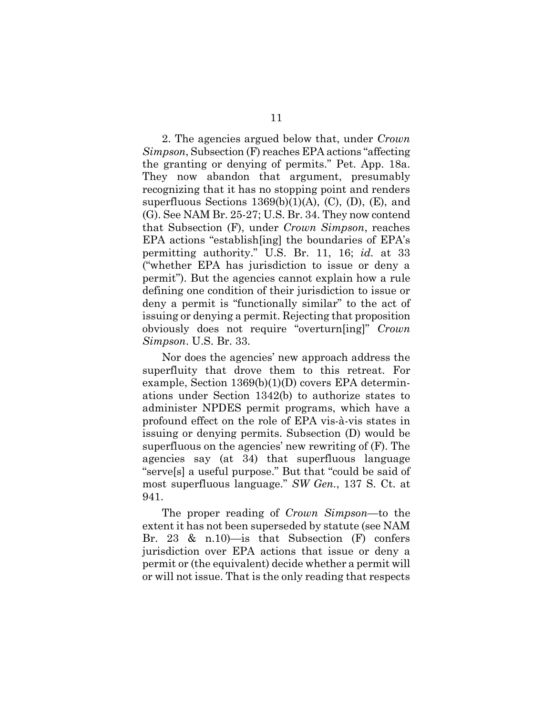<span id="page-17-0"></span>2. The agencies argued below that, under *Crown Simpson*, Subsection (F) reaches EPA actions "affecting the granting or denying of permits." Pet. App. 18a. They now abandon that argument, presumably recognizing that it has no stopping point and renders superfluous Sections  $1369(b)(1)(A)$ , (C), (D), (E), and (G). See NAM Br. 25-27; U.S. Br. 34. They now contend that Subsection (F), under *Crown Simpson*, reaches EPA actions "establish[ing] the boundaries of EPA's permitting authority." U.S. Br. 11, 16; *id.* at 33 ("whether EPA has jurisdiction to issue or deny a permit"). But the agencies cannot explain how a rule defining one condition of their jurisdiction to issue or deny a permit is "functionally similar" to the act of issuing or denying a permit. Rejecting that proposition obviously does not require "overturn[ing]" *Crown Simpson*. U.S. Br. 33.

<span id="page-17-2"></span>Nor does the agencies' new approach address the superfluity that drove them to this retreat. For example, Section 1369(b)(1)(D) covers EPA determinations under Section 1342(b) to authorize states to administer NPDES permit programs, which have a profound effect on the role of EPA vis-à-vis states in issuing or denying permits. Subsection (D) would be superfluous on the agencies' new rewriting of (F). The agencies say (at 34) that superfluous language "serve[s] a useful purpose." But that "could be said of most superfluous language." *SW Gen.*, 137 S. Ct. at 941.

<span id="page-17-1"></span>The proper reading of *Crown Simpson*—to the extent it has not been superseded by statute (see NAM Br. 23 & n.10)—is that Subsection (F) confers jurisdiction over EPA actions that issue or deny a permit or (the equivalent) decide whether a permit will or will not issue. That is the only reading that respects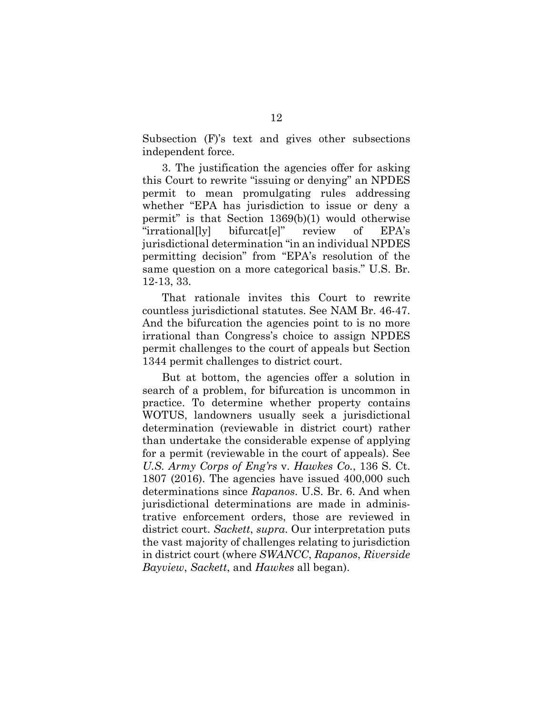Subsection (F)'s text and gives other subsections independent force.

3. The justification the agencies offer for asking this Court to rewrite "issuing or denying" an NPDES permit to mean promulgating rules addressing whether "EPA has jurisdiction to issue or deny a permit" is that Section 1369(b)(1) would otherwise "irrational[ly] bifurcat[e]" review of EPA's jurisdictional determination "in an individual NPDES permitting decision" from "EPA's resolution of the same question on a more categorical basis." U.S. Br. 12-13, 33.

That rationale invites this Court to rewrite countless jurisdictional statutes. See NAM Br. 46-47. And the bifurcation the agencies point to is no more irrational than Congress's choice to assign NPDES permit challenges to the court of appeals but Section 1344 permit challenges to district court.

<span id="page-18-3"></span><span id="page-18-2"></span><span id="page-18-1"></span><span id="page-18-0"></span>But at bottom, the agencies offer a solution in search of a problem, for bifurcation is uncommon in practice. To determine whether property contains WOTUS, landowners usually seek a jurisdictional determination (reviewable in district court) rather than undertake the considerable expense of applying for a permit (reviewable in the court of appeals). See *U.S. Army Corps of Eng'rs* v. *Hawkes Co.*, 136 S. Ct. 1807 (2016). The agencies have issued 400,000 such determinations since *Rapanos*. U.S. Br. 6. And when jurisdictional determinations are made in administrative enforcement orders, those are reviewed in district court. *Sackett*, *supra*. Our interpretation puts the vast majority of challenges relating to jurisdiction in district court (where *SWANCC*, *Rapanos*, *Riverside Bayview*, *Sackett*, and *Hawkes* all began).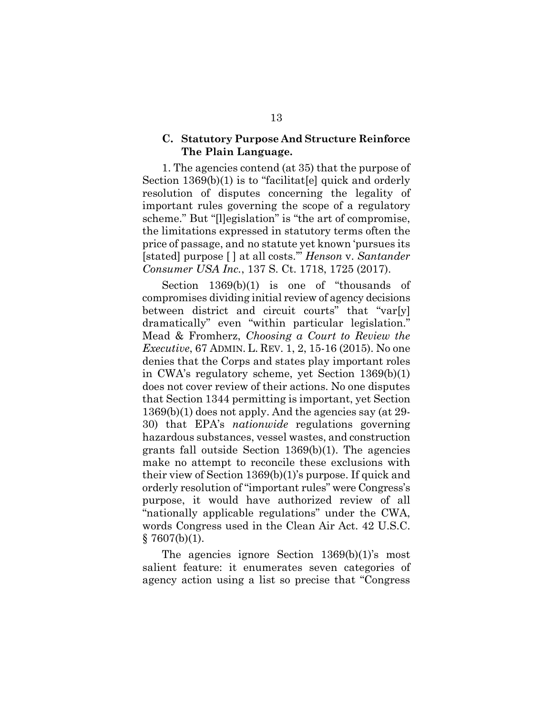#### <span id="page-19-0"></span>**C. Statutory Purpose And Structure Reinforce The Plain Language.**

1. The agencies contend (at 35) that the purpose of Section 1369(b)(1) is to "facilitat[e] quick and orderly resolution of disputes concerning the legality of important rules governing the scope of a regulatory scheme." But "[l]egislation" is "the art of compromise, the limitations expressed in statutory terms often the price of passage, and no statute yet known 'pursues its [stated] purpose [ ] at all costs.'" *Henson* v. *Santander Consumer USA Inc.*, 137 S. Ct. 1718, 1725 (2017).

<span id="page-19-3"></span><span id="page-19-2"></span><span id="page-19-1"></span>Section 1369(b)(1) is one of "thousands of compromises dividing initial review of agency decisions between district and circuit courts" that "var[y] dramatically" even "within particular legislation." Mead & Fromherz, *Choosing a Court to Review the Executive*, 67 ADMIN. L. REV. 1, 2, 15-16 (2015). No one denies that the Corps and states play important roles in CWA's regulatory scheme, yet Section 1369(b)(1) does not cover review of their actions. No one disputes that Section 1344 permitting is important, yet Section 1369(b)(1) does not apply. And the agencies say (at 29- 30) that EPA's *nationwide* regulations governing hazardous substances, vessel wastes, and construction grants fall outside Section 1369(b)(1). The agencies make no attempt to reconcile these exclusions with their view of Section 1369(b)(1)'s purpose. If quick and orderly resolution of "important rules" were Congress's purpose, it would have authorized review of all "nationally applicable regulations" under the CWA, words Congress used in the Clean Air Act. 42 U.S.C.  $§ 7607(b)(1).$ 

The agencies ignore Section 1369(b)(1)'s most salient feature: it enumerates seven categories of agency action using a list so precise that "Congress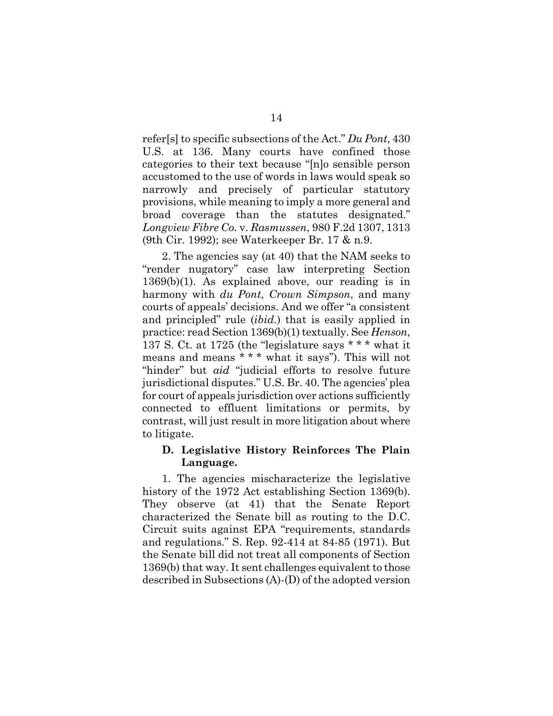refer[s] to specific subsections of the Act." *Du Pont*, 430 U.S. at 136. Many courts have confined those categories to their text because "[n]o sensible person accustomed to the use of words in laws would speak so narrowly and precisely of particular statutory provisions, while meaning to imply a more general and broad coverage than the statutes designated." *Longview Fibre Co.* v. *Rasmussen*, 980 F.2d 1307, 1313 (9th Cir. 1992); see Waterkeeper Br. 17 & n.9.

<span id="page-20-3"></span><span id="page-20-2"></span><span id="page-20-1"></span>2. The agencies say (at 40) that the NAM seeks to "render nugatory" case law interpreting Section 1369(b)(1). As explained above, our reading is in harmony with *du Pont*, *Crown Simpson*, and many courts of appeals' decisions. And we offer "a consistent and principled" rule (*ibid.*) that is easily applied in practice: read Section 1369(b)(1) textually. See *Henson*, 137 S. Ct. at 1725 (the "legislature says \* \* \* what it means and means \* \* \* what it says"). This will not "hinder" but *aid* "judicial efforts to resolve future jurisdictional disputes." U.S. Br. 40. The agencies' plea for court of appeals jurisdiction over actions sufficiently connected to effluent limitations or permits, by contrast, will just result in more litigation about where to litigate.

### <span id="page-20-0"></span>**D. Legislative History Reinforces The Plain Language.**

<span id="page-20-4"></span>1. The agencies mischaracterize the legislative history of the 1972 Act establishing Section 1369(b). They observe (at 41) that the Senate Report characterized the Senate bill as routing to the D.C. Circuit suits against EPA "requirements, standards and regulations." S. Rep. 92-414 at 84-85 (1971). But the Senate bill did not treat all components of Section 1369(b) that way. It sent challenges equivalent to those described in Subsections (A)-(D) of the adopted version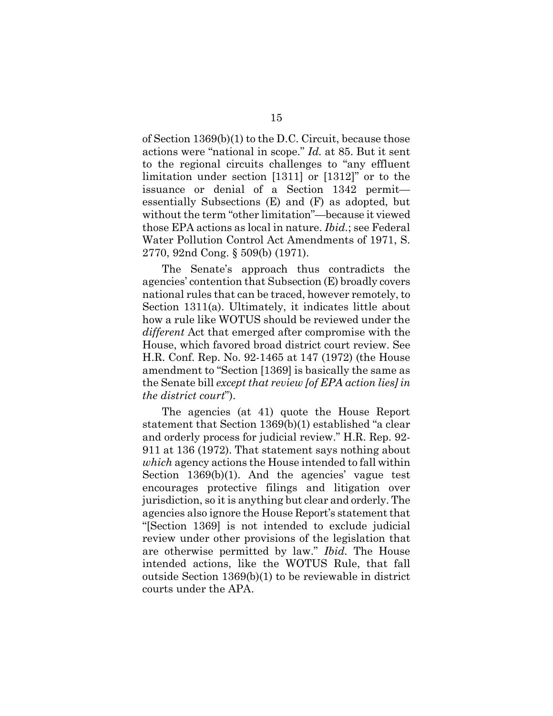<span id="page-21-6"></span><span id="page-21-2"></span><span id="page-21-1"></span>of Section 1369(b)(1) to the D.C. Circuit, because those actions were "national in scope." *Id.* at 85. But it sent to the regional circuits challenges to "any effluent limitation under section [1311] or [1312]" or to the issuance or denial of a Section 1342 permit essentially Subsections (E) and (F) as adopted, but without the term "other limitation"—because it viewed those EPA actions as local in nature. *Ibid.*; see Federal Water Pollution Control Act Amendments of 1971, S. 2770, 92nd Cong. § 509(b) (1971).

<span id="page-21-3"></span><span id="page-21-0"></span>The Senate's approach thus contradicts the agencies' contention that Subsection (E) broadly covers national rules that can be traced, however remotely, to Section 1311(a). Ultimately, it indicates little about how a rule like WOTUS should be reviewed under the *different* Act that emerged after compromise with the House, which favored broad district court review. See H.R. Conf. Rep. No. 92-1465 at 147 (1972) (the House amendment to "Section [1369] is basically the same as the Senate bill *except that review [of EPA action lies] in the district court*").

<span id="page-21-5"></span><span id="page-21-4"></span>The agencies (at 41) quote the House Report statement that Section 1369(b)(1) established "a clear and orderly process for judicial review." H.R. Rep. 92- 911 at 136 (1972). That statement says nothing about *which* agency actions the House intended to fall within Section 1369(b)(1). And the agencies' vague test encourages protective filings and litigation over jurisdiction, so it is anything but clear and orderly. The agencies also ignore the House Report's statement that "[Section 1369] is not intended to exclude judicial review under other provisions of the legislation that are otherwise permitted by law." *Ibid.* The House intended actions, like the WOTUS Rule, that fall outside Section 1369(b)(1) to be reviewable in district courts under the APA.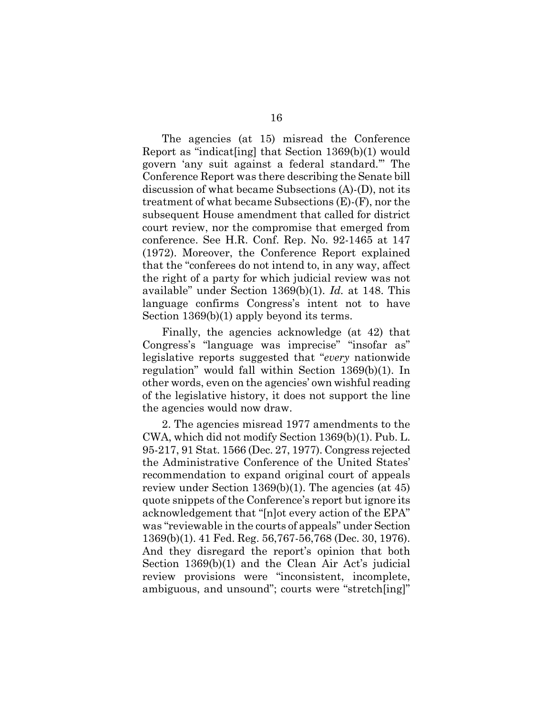<span id="page-22-2"></span>The agencies (at 15) misread the Conference Report as "indicat[ing] that Section 1369(b)(1) would govern 'any suit against a federal standard.'" The Conference Report was there describing the Senate bill discussion of what became Subsections (A)-(D), not its treatment of what became Subsections (E)-(F), nor the subsequent House amendment that called for district court review, nor the compromise that emerged from conference. See H.R. Conf. Rep. No. 92-1465 at 147 (1972). Moreover, the Conference Report explained that the "conferees do not intend to, in any way, affect the right of a party for which judicial review was not available" under Section 1369(b)(1). *Id.* at 148. This language confirms Congress's intent not to have Section 1369(b)(1) apply beyond its terms.

Finally, the agencies acknowledge (at 42) that Congress's "language was imprecise" "insofar as" legislative reports suggested that "*every* nationwide regulation" would fall within Section 1369(b)(1). In other words, even on the agencies' own wishful reading of the legislative history, it does not support the line the agencies would now draw.

<span id="page-22-1"></span><span id="page-22-0"></span>2. The agencies misread 1977 amendments to the CWA, which did not modify Section 1369(b)(1). Pub. L. 95-217, 91 Stat. 1566 (Dec. 27, 1977). Congress rejected the Administrative Conference of the United States' recommendation to expand original court of appeals review under Section 1369(b)(1). The agencies (at 45) quote snippets of the Conference's report but ignore its acknowledgement that "[n]ot every action of the EPA" was "reviewable in the courts of appeals" under Section 1369(b)(1). 41 Fed. Reg. 56,767-56,768 (Dec. 30, 1976). And they disregard the report's opinion that both Section 1369(b)(1) and the Clean Air Act's judicial review provisions were "inconsistent, incomplete, ambiguous, and unsound"; courts were "stretch[ing]"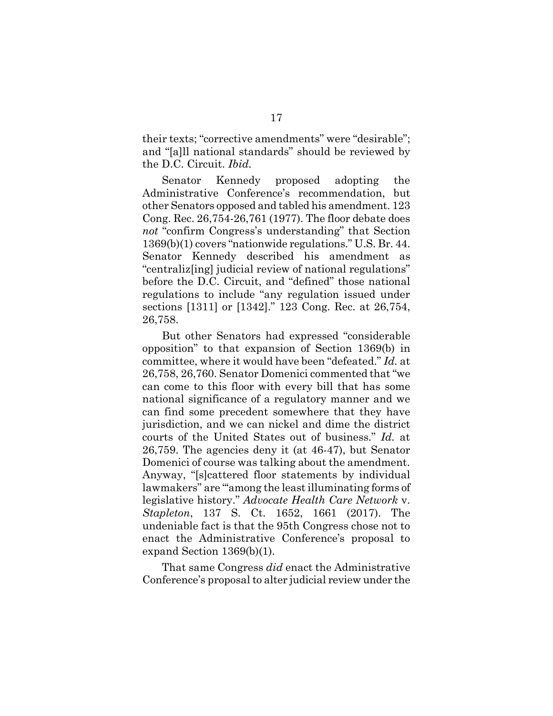<span id="page-23-3"></span>their texts; "corrective amendments" were "desirable"; and "[a]ll national standards" should be reviewed by the D.C. Circuit. *Ibid.*

<span id="page-23-2"></span>Senator Kennedy proposed adopting the Administrative Conference's recommendation, but other Senators opposed and tabled his amendment. 123 Cong. Rec. 26,754-26,761 (1977). The floor debate does *not* "confirm Congress's understanding" that Section 1369(b)(1) covers "nationwide regulations." U.S. Br. 44. Senator Kennedy described his amendment as "centraliz[ing] judicial review of national regulations" before the D.C. Circuit, and "defined" those national regulations to include "any regulation issued under sections [1311] or [1342]." 123 Cong. Rec. at 26,754, 26,758.

<span id="page-23-1"></span>But other Senators had expressed "considerable opposition" to that expansion of Section 1369(b) in committee, where it would have been "defeated." *Id.* at 26,758, 26,760. Senator Domenici commented that "we can come to this floor with every bill that has some national significance of a regulatory manner and we can find some precedent somewhere that they have jurisdiction, and we can nickel and dime the district courts of the United States out of business." *Id.* at 26,759. The agencies deny it (at 46-47), but Senator Domenici of course was talking about the amendment. Anyway, "[s]cattered floor statements by individual lawmakers" are "'among the least illuminating forms of legislative history." *Advocate Health Care Network* v. *Stapleton*, 137 S. Ct. 1652, 1661 (2017). The undeniable fact is that the 95th Congress chose not to enact the Administrative Conference's proposal to expand Section 1369(b)(1).

<span id="page-23-0"></span>That same Congress *did* enact the Administrative Conference's proposal to alter judicial review under the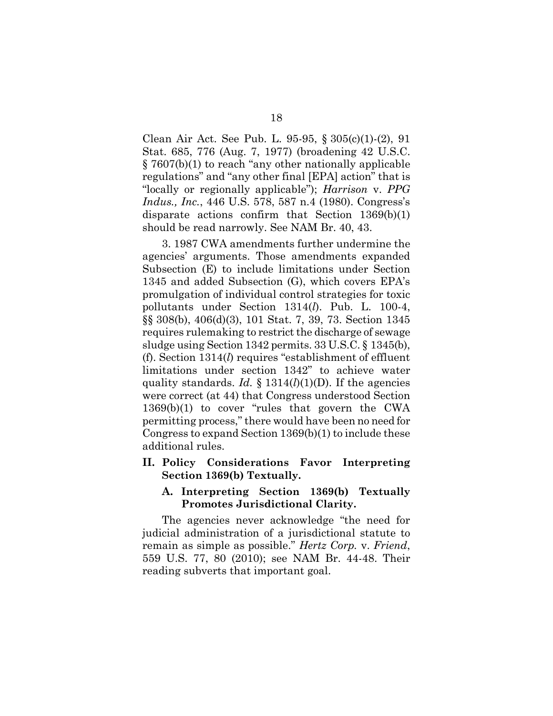<span id="page-24-10"></span><span id="page-24-9"></span><span id="page-24-2"></span>Clean Air Act. See Pub. L. 95-95, § 305(c)(1)-(2), 91 Stat. 685, 776 (Aug. 7, 1977) (broadening 42 U.S.C. § 7607(b)(1) to reach "any other nationally applicable regulations" and "any other final [EPA] action" that is "locally or regionally applicable"); *Harrison* v. *PPG Indus., Inc.*, 446 U.S. 578, 587 n.4 (1980). Congress's disparate actions confirm that Section 1369(b)(1) should be read narrowly. See NAM Br. 40, 43.

<span id="page-24-11"></span><span id="page-24-8"></span><span id="page-24-7"></span><span id="page-24-6"></span><span id="page-24-5"></span><span id="page-24-4"></span>3. 1987 CWA amendments further undermine the agencies' arguments. Those amendments expanded Subsection (E) to include limitations under Section 1345 and added Subsection (G), which covers EPA's promulgation of individual control strategies for toxic pollutants under Section 1314(*l*). Pub. L. 100-4, §§ 308(b), 406(d)(3), 101 Stat. 7, 39, 73. Section 1345 requires rulemaking to restrict the discharge of sewage sludge using Section 1342 permits. 33 U.S.C. § 1345(b), (f). Section 1314(*l*) requires "establishment of effluent limitations under section 1342" to achieve water quality standards. *Id.*  $\S$  1314(*l*)(1)(D). If the agencies were correct (at 44) that Congress understood Section 1369(b)(1) to cover "rules that govern the CWA permitting process," there would have been no need for Congress to expand Section 1369(b)(1) to include these additional rules.

<span id="page-24-0"></span>**II. Policy Considerations Favor Interpreting Section 1369(b) Textually.**

#### <span id="page-24-3"></span><span id="page-24-1"></span>**A. Interpreting Section 1369(b) Textually Promotes Jurisdictional Clarity.**

The agencies never acknowledge "the need for judicial administration of a jurisdictional statute to remain as simple as possible." *Hertz Corp.* v. *Friend*, 559 U.S. 77, 80 (2010); see NAM Br. 44-48. Their reading subverts that important goal.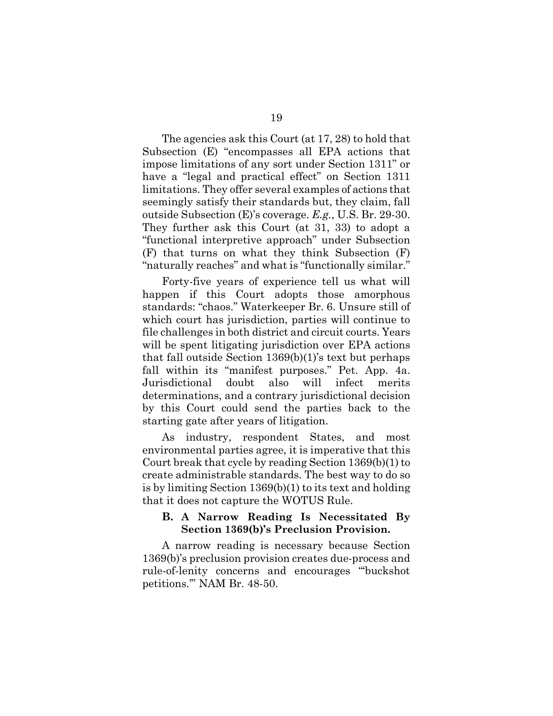The agencies ask this Court (at 17, 28) to hold that Subsection (E) "encompasses all EPA actions that impose limitations of any sort under Section 1311" or have a "legal and practical effect" on Section 1311 limitations. They offer several examples of actions that seemingly satisfy their standards but, they claim, fall outside Subsection (E)'s coverage. *E.g.*, U.S. Br. 29-30. They further ask this Court (at 31, 33) to adopt a "functional interpretive approach" under Subsection (F) that turns on what they think Subsection (F) "naturally reaches" and what is "functionally similar."

Forty-five years of experience tell us what will happen if this Court adopts those amorphous standards: "chaos." Waterkeeper Br. 6. Unsure still of which court has jurisdiction, parties will continue to file challenges in both district and circuit courts. Years will be spent litigating jurisdiction over EPA actions that fall outside Section 1369(b)(1)'s text but perhaps fall within its "manifest purposes." Pet. App. 4a. Jurisdictional doubt also will infect merits determinations, and a contrary jurisdictional decision by this Court could send the parties back to the starting gate after years of litigation.

As industry, respondent States, and most environmental parties agree, it is imperative that this Court break that cycle by reading Section 1369(b)(1) to create administrable standards. The best way to do so is by limiting Section 1369(b)(1) to its text and holding that it does not capture the WOTUS Rule.

#### <span id="page-25-0"></span>**B. A Narrow Reading Is Necessitated By Section 1369(b)'s Preclusion Provision.**

A narrow reading is necessary because Section 1369(b)'s preclusion provision creates due-process and rule-of-lenity concerns and encourages "'buckshot petitions.'" NAM Br. 48-50.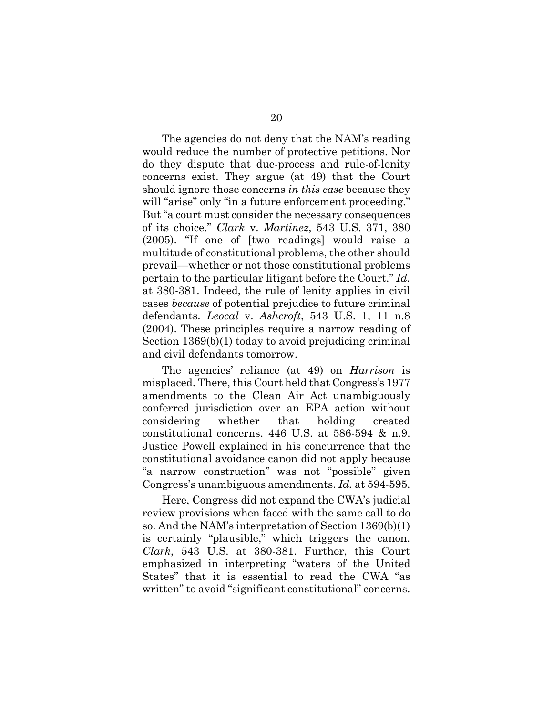<span id="page-26-0"></span>The agencies do not deny that the NAM's reading would reduce the number of protective petitions. Nor do they dispute that due-process and rule-of-lenity concerns exist. They argue (at 49) that the Court should ignore those concerns *in this case* because they will "arise" only "in a future enforcement proceeding." But "a court must consider the necessary consequences of its choice." *Clark* v. *Martinez*, 543 U.S. 371, 380 (2005). "If one of [two readings] would raise a multitude of constitutional problems, the other should prevail—whether or not those constitutional problems pertain to the particular litigant before the Court." *Id.* at 380-381. Indeed, the rule of lenity applies in civil cases *because* of potential prejudice to future criminal defendants. *Leocal* v. *Ashcroft*, 543 U.S. 1, 11 n.8 (2004). These principles require a narrow reading of Section 1369(b)(1) today to avoid prejudicing criminal and civil defendants tomorrow.

<span id="page-26-3"></span><span id="page-26-2"></span><span id="page-26-1"></span>The agencies' reliance (at 49) on *Harrison* is misplaced. There, this Court held that Congress's 1977 amendments to the Clean Air Act unambiguously conferred jurisdiction over an EPA action without considering whether that holding created constitutional concerns. 446 U.S. at 586-594 & n.9. Justice Powell explained in his concurrence that the constitutional avoidance canon did not apply because "a narrow construction" was not "possible" given Congress's unambiguous amendments. *Id.* at 594-595.

Here, Congress did not expand the CWA's judicial review provisions when faced with the same call to do so. And the NAM's interpretation of Section 1369(b)(1) is certainly "plausible," which triggers the canon. *Clark*, 543 U.S. at 380-381. Further, this Court emphasized in interpreting "waters of the United States" that it is essential to read the CWA "as written" to avoid "significant constitutional" concerns.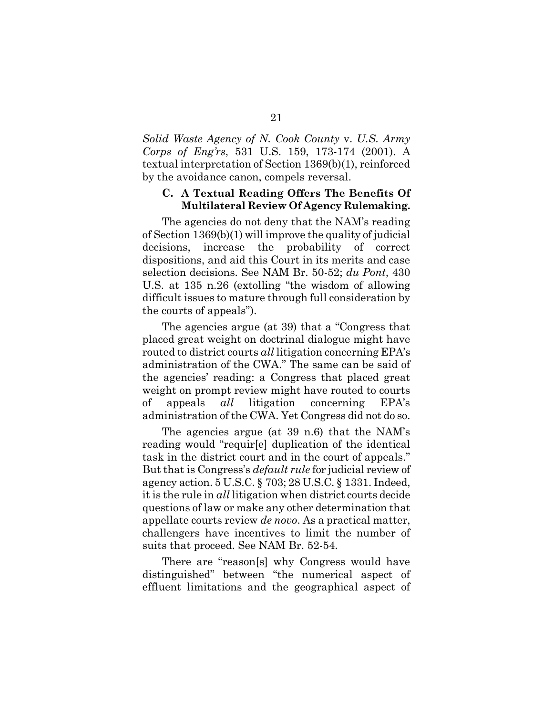<span id="page-27-1"></span>*Solid Waste Agency of N. Cook County* v. *U.S. Army Corps of Eng'rs*, 531 U.S. 159, 173-174 (2001). A textual interpretation of Section 1369(b)(1), reinforced by the avoidance canon, compels reversal.

#### <span id="page-27-0"></span>**C. A Textual Reading Offers The Benefits Of Multilateral Review Of Agency Rulemaking.**

The agencies do not deny that the NAM's reading of Section 1369(b)(1) will improve the quality of judicial decisions, increase the probability of correct dispositions, and aid this Court in its merits and case selection decisions. See NAM Br. 50-52; *du Pont*, 430 U.S. at 135 n.26 (extolling "the wisdom of allowing difficult issues to mature through full consideration by the courts of appeals").

The agencies argue (at 39) that a "Congress that placed great weight on doctrinal dialogue might have routed to district courts *all* litigation concerning EPA's administration of the CWA." The same can be said of the agencies' reading: a Congress that placed great weight on prompt review might have routed to courts of appeals *all* litigation concerning EPA's administration of the CWA. Yet Congress did not do so.

<span id="page-27-3"></span><span id="page-27-2"></span>The agencies argue (at 39 n.6) that the NAM's reading would "requir[e] duplication of the identical task in the district court and in the court of appeals." But that is Congress's *default rule* for judicial review of agency action. 5 U.S.C. § 703; 28 U.S.C. § 1331. Indeed, it is the rule in *all* litigation when district courts decide questions of law or make any other determination that appellate courts review *de novo*. As a practical matter, challengers have incentives to limit the number of suits that proceed. See NAM Br. 52-54.

There are "reason[s] why Congress would have distinguished" between "the numerical aspect of effluent limitations and the geographical aspect of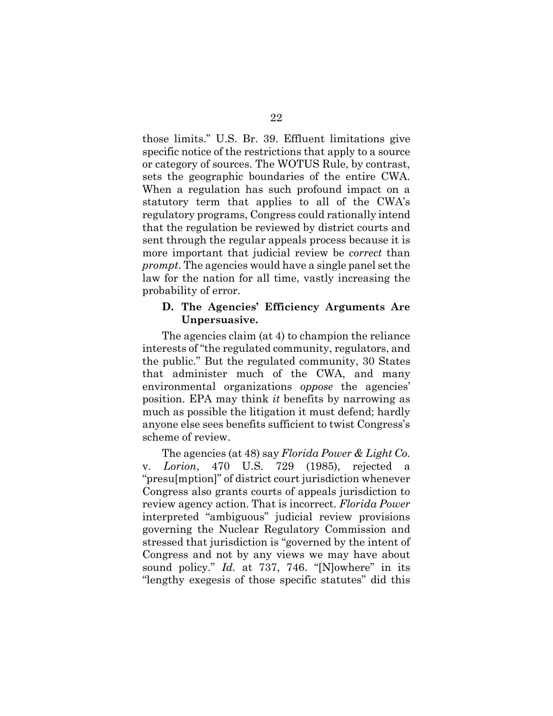those limits." U.S. Br. 39. Effluent limitations give specific notice of the restrictions that apply to a source or category of sources. The WOTUS Rule, by contrast, sets the geographic boundaries of the entire CWA. When a regulation has such profound impact on a statutory term that applies to all of the CWA's regulatory programs, Congress could rationally intend that the regulation be reviewed by district courts and sent through the regular appeals process because it is more important that judicial review be *correct* than *prompt*. The agencies would have a single panel set the law for the nation for all time, vastly increasing the probability of error.

#### <span id="page-28-0"></span>**D. The Agencies' Efficiency Arguments Are Unpersuasive.**

The agencies claim (at 4) to champion the reliance interests of "the regulated community, regulators, and the public." But the regulated community, 30 States that administer much of the CWA, and many environmental organizations *oppose* the agencies' position. EPA may think *it* benefits by narrowing as much as possible the litigation it must defend; hardly anyone else sees benefits sufficient to twist Congress's scheme of review.

<span id="page-28-1"></span>The agencies (at 48) say *Florida Power & Light Co.* v. *Lorion*, 470 U.S. 729 (1985), rejected a "presu[mption]" of district court jurisdiction whenever Congress also grants courts of appeals jurisdiction to review agency action. That is incorrect. *Florida Power* interpreted "ambiguous" judicial review provisions governing the Nuclear Regulatory Commission and stressed that jurisdiction is "governed by the intent of Congress and not by any views we may have about sound policy." *Id.* at 737, 746. "[N]owhere" in its "lengthy exegesis of those specific statutes" did this